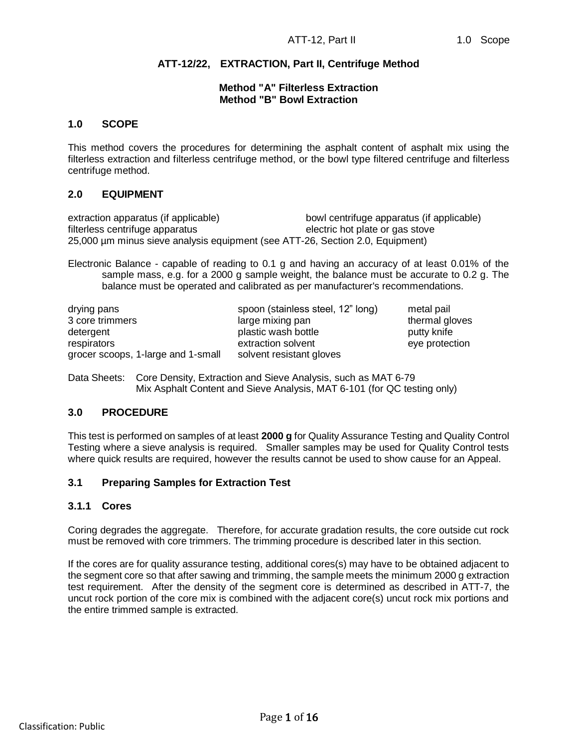# **ATT-12/22, EXTRACTION, Part II, Centrifuge Method**

# **Method "A" Filterless Extraction Method "B" Bowl Extraction**

# **1.0 SCOPE**

This method covers the procedures for determining the asphalt content of asphalt mix using the filterless extraction and filterless centrifuge method, or the bowl type filtered centrifuge and filterless centrifuge method.

# **2.0 EQUIPMENT**

extraction apparatus (if applicable) bowl centrifuge apparatus (if applicable) filterless centrifuge apparatus electric hot plate or gas stove 25,000 µm minus sieve analysis equipment (see ATT-26, Section 2.0, Equipment)

Electronic Balance - capable of reading to 0.1 g and having an accuracy of at least 0.01% of the sample mass, e.g. for a 2000 g sample weight, the balance must be accurate to 0.2 g. The balance must be operated and calibrated as per manufacturer's recommendations.

| drying pans                        | spoon (stainless steel, 12" long) | metal pail     |
|------------------------------------|-----------------------------------|----------------|
| 3 core trimmers                    | large mixing pan                  | thermal gloves |
| detergent                          | plastic wash bottle               | putty knife    |
| respirators                        | extraction solvent                | eye protection |
| grocer scoops, 1-large and 1-small | solvent resistant gloves          |                |

Data Sheets: Core Density, Extraction and Sieve Analysis, such as MAT 6-79 Mix Asphalt Content and Sieve Analysis, MAT 6-101 (for QC testing only)

### **3.0 PROCEDURE**

This test is performed on samples of at least **2000 g** for Quality Assurance Testing and Quality Control Testing where a sieve analysis is required. Smaller samples may be used for Quality Control tests where quick results are required, however the results cannot be used to show cause for an Appeal.

# **3.1 Preparing Samples for Extraction Test**

### **3.1.1 Cores**

Coring degrades the aggregate. Therefore, for accurate gradation results, the core outside cut rock must be removed with core trimmers. The trimming procedure is described later in this section.

If the cores are for quality assurance testing, additional cores(s) may have to be obtained adjacent to the segment core so that after sawing and trimming, the sample meets the minimum 2000 g extraction test requirement. After the density of the segment core is determined as described in ATT-7, the uncut rock portion of the core mix is combined with the adjacent core(s) uncut rock mix portions and the entire trimmed sample is extracted.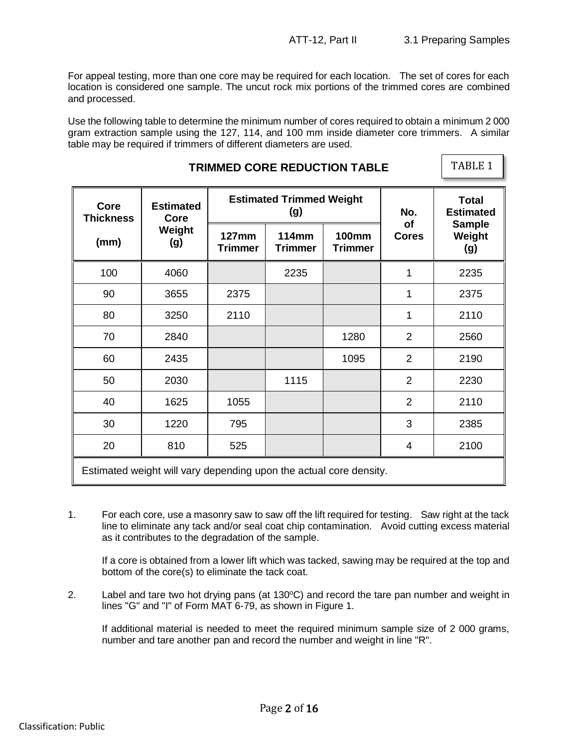$|$  TABLE 1  $|$ 

For appeal testing, more than one core may be required for each location. The set of cores for each location is considered one sample. The uncut rock mix portions of the trimmed cores are combined and processed.

Use the following table to determine the minimum number of cores required to obtain a minimum 2 000 gram extraction sample using the 127, 114, and 100 mm inside diameter core trimmers. A similar table may be required if trimmers of different diameters are used.

**TRIMMED CORE REDUCTION TABLE**

| Core<br><b>Thickness</b>                                           | <b>Estimated</b><br>Core |                                | <b>Estimated Trimmed Weight</b><br>(g) | No.                            | <b>Total</b><br><b>Estimated</b> |                                |  |
|--------------------------------------------------------------------|--------------------------|--------------------------------|----------------------------------------|--------------------------------|----------------------------------|--------------------------------|--|
| (mm)                                                               | Weight<br>(g)            | <b>127mm</b><br><b>Trimmer</b> | <b>114mm</b><br><b>Trimmer</b>         | <b>100mm</b><br><b>Trimmer</b> | <b>of</b><br><b>Cores</b>        | <b>Sample</b><br>Weight<br>(g) |  |
| 100                                                                | 4060                     |                                | 2235                                   |                                | 1                                | 2235                           |  |
| 90                                                                 | 3655                     | 2375                           |                                        |                                | 1                                | 2375                           |  |
| 80                                                                 | 3250                     | 2110                           |                                        |                                | 1                                | 2110                           |  |
| 70                                                                 | 2840                     |                                |                                        | 1280                           | $\overline{2}$                   | 2560                           |  |
| 60                                                                 | 2435                     |                                |                                        | 1095                           | $\overline{2}$                   | 2190                           |  |
| 50                                                                 | 2030                     |                                | 1115                                   |                                | $\overline{2}$                   | 2230                           |  |
| 40                                                                 | 1625                     | 1055                           |                                        |                                | $\overline{2}$                   | 2110                           |  |
| 30                                                                 | 1220                     | 795                            |                                        |                                | 3                                | 2385                           |  |
| 20                                                                 | 810                      | 525                            |                                        |                                | 4                                | 2100                           |  |
| Estimated weight will vary depending upon the actual core density. |                          |                                |                                        |                                |                                  |                                |  |

1. For each core, use a masonry saw to saw off the lift required for testing. Saw right at the tack line to eliminate any tack and/or seal coat chip contamination. Avoid cutting excess material as it contributes to the degradation of the sample.

If a core is obtained from a lower lift which was tacked, sawing may be required at the top and bottom of the core(s) to eliminate the tack coat.

2. Label and tare two hot drying pans (at  $130^{\circ}$ C) and record the tare pan number and weight in lines "G" and "I" of Form MAT 6-79, as shown in Figure 1.

If additional material is needed to meet the required minimum sample size of 2 000 grams, number and tare another pan and record the number and weight in line "R".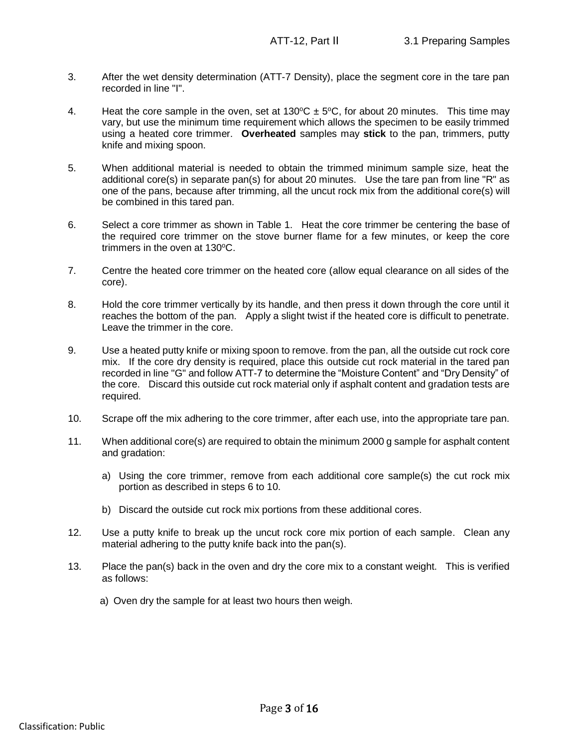- 3. After the wet density determination (ATT-7 Density), place the segment core in the tare pan recorded in line "I".
- 4. Heat the core sample in the oven, set at  $130^{\circ}C \pm 5^{\circ}C$ , for about 20 minutes. This time may vary, but use the minimum time requirement which allows the specimen to be easily trimmed using a heated core trimmer. **Overheated** samples may **stick** to the pan, trimmers, putty knife and mixing spoon.
- 5. When additional material is needed to obtain the trimmed minimum sample size, heat the additional core(s) in separate pan(s) for about 20 minutes. Use the tare pan from line "R" as one of the pans, because after trimming, all the uncut rock mix from the additional core(s) will be combined in this tared pan.
- 6. Select a core trimmer as shown in Table 1. Heat the core trimmer be centering the base of the required core trimmer on the stove burner flame for a few minutes, or keep the core trimmers in the oven at  $130^{\circ}$ C.
- 7. Centre the heated core trimmer on the heated core (allow equal clearance on all sides of the core).
- 8. Hold the core trimmer vertically by its handle, and then press it down through the core until it reaches the bottom of the pan. Apply a slight twist if the heated core is difficult to penetrate. Leave the trimmer in the core.
- 9. Use a heated putty knife or mixing spoon to remove. from the pan, all the outside cut rock core mix. If the core dry density is required, place this outside cut rock material in the tared pan recorded in line "G" and follow ATT-7 to determine the "Moisture Content" and "Dry Density" of the core. Discard this outside cut rock material only if asphalt content and gradation tests are required.
- 10. Scrape off the mix adhering to the core trimmer, after each use, into the appropriate tare pan.
- 11. When additional core(s) are required to obtain the minimum 2000 g sample for asphalt content and gradation:
	- a) Using the core trimmer, remove from each additional core sample(s) the cut rock mix portion as described in steps 6 to 10.
	- b) Discard the outside cut rock mix portions from these additional cores.
- 12. Use a putty knife to break up the uncut rock core mix portion of each sample. Clean any material adhering to the putty knife back into the pan(s).
- 13. Place the pan(s) back in the oven and dry the core mix to a constant weight. This is verified as follows:
	- a) Oven dry the sample for at least two hours then weigh.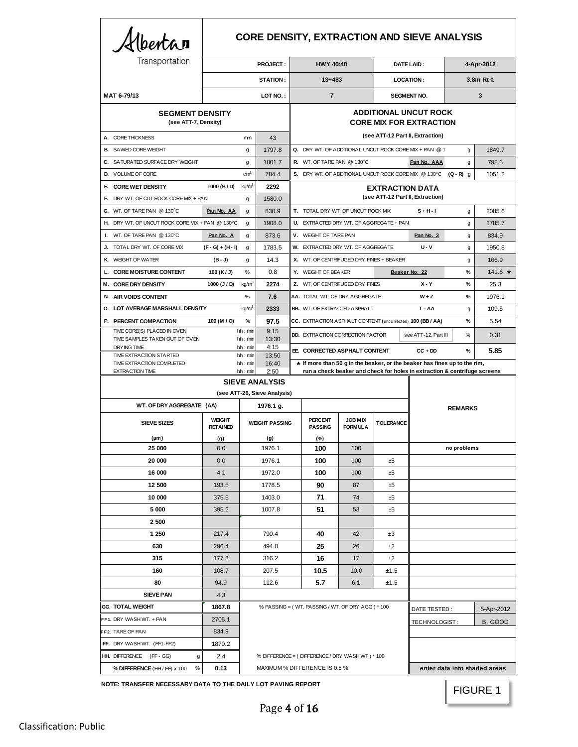| Albertan                                                                                           |                                  |                    |                                                                |                                                  | <b>CORE DENSITY, EXTRACTION AND SIEVE ANALYSIS</b>                        |                                   |                                                            |                                  |             |            |
|----------------------------------------------------------------------------------------------------|----------------------------------|--------------------|----------------------------------------------------------------|--------------------------------------------------|---------------------------------------------------------------------------|-----------------------------------|------------------------------------------------------------|----------------------------------|-------------|------------|
| Transportation                                                                                     | <b>PROJECT:</b>                  |                    |                                                                | <b>HWY 40:40</b>                                 |                                                                           |                                   | DATE LAID:                                                 | 4-Apr-2012                       |             |            |
|                                                                                                    | <b>STATION:</b>                  |                    |                                                                | $13 + 483$                                       |                                                                           |                                   | <b>LOCATION:</b>                                           |                                  | 3.8m Rt ¢   |            |
| MAT 6-79/13                                                                                        |                                  |                    | LOT NO.:                                                       |                                                  | $\overline{7}$                                                            |                                   |                                                            | <b>SEGMENT NO.</b>               |             | 3          |
| <b>SEGMENT DENSITY</b><br>(see ATT-7, Density)                                                     |                                  |                    | <b>ADDITIONAL UNCUT ROCK</b><br><b>CORE MIX FOR EXTRACTION</b> |                                                  |                                                                           |                                   |                                                            |                                  |             |            |
| A. CORE THICKNESS                                                                                  |                                  | mm                 | 43                                                             |                                                  |                                                                           |                                   |                                                            | (see ATT-12 Part II, Extraction) |             |            |
| <b>B.</b> SAWED CORE WEIGHT                                                                        |                                  | g                  | 1797.8                                                         |                                                  | Q. DRY WT. OF ADDITIONAL UNCUT ROCK CORE MIX + PAN @ 1                    |                                   |                                                            |                                  | g           | 1849.7     |
| C. SATURATED SURFACE DRY WEIGHT                                                                    |                                  | g                  | 1801.7                                                         |                                                  | R. WT. OF TARE PAN @ 130°C                                                |                                   |                                                            | Pan No. AAA                      | g           | 798.5      |
| D. VOLUME OF CORE                                                                                  |                                  | cm <sup>3</sup>    | 784.4                                                          |                                                  | S. DRY WT. OF ADDITIONAL UNCUT ROCK CORE MIX @ 130°C (Q - R) q            |                                   |                                                            |                                  |             | 1051.2     |
| E COREWET DENSITY                                                                                  | 1000 (B / D)                     | kg/m <sup>3</sup>  | 2292                                                           |                                                  |                                                                           |                                   | <b>EXTRACTION DATA</b><br>(see ATT-12 Part II, Extraction) |                                  |             |            |
| <b>F.</b> DRY WT. OF CUT ROCK CORE MIX + PAN                                                       |                                  | g                  | 1580.0                                                         |                                                  |                                                                           |                                   |                                                            |                                  |             |            |
| G. WT. OF TARE PAN $@130^{\circ}$ C                                                                | Pan No. AA                       | g                  | 830.9                                                          |                                                  | T. TOTAL DRY WT. OF UNCUT ROCK MIX                                        |                                   |                                                            | $S + H - I$                      | g           | 2085.6     |
| H. DRY WT. OF UNCUT ROCK CORE MIX + PAN @ 130°C                                                    |                                  | g                  | 1908.0                                                         |                                                  | U. EXTRACTED DRY WT. OF AGGREGATE + PAN                                   |                                   |                                                            |                                  | g           | 2785.7     |
| WT. OF TARE PAN @ 130°C<br>Ι.                                                                      | Pan No. A                        | g                  | 873.6                                                          |                                                  | V. WEIGHT OF TARE PAN                                                     |                                   |                                                            | Pan No. $3$                      | g           | 834.9      |
| J. TOTAL DRY WT. OF CORE MIX                                                                       | $(F - G) + (H - I)$              | g                  | 1783.5                                                         |                                                  | W. EXTRACTED DRY WT. OF AGGREGATE                                         |                                   |                                                            | <b>U-V</b>                       | g           | 1950.8     |
| K. WEIGHT OF WATER                                                                                 | (B - J)                          | g                  | 14.3                                                           |                                                  | X. WT. OF CENTRIFUGED DRY FINES + BEAKER                                  |                                   |                                                            |                                  | g           | 166.9      |
| <b>CORE MOISTURE CONTENT</b><br>L.                                                                 | 100 (K/J)                        | %                  | 0.8                                                            |                                                  | Y. WEIGHT OF BEAKER                                                       |                                   |                                                            | Beaker No. 22                    | $\%$        | $141.6$ *  |
| M. CORE DRY DENSITY                                                                                | 1000 (J / D)                     | kg/m <sup>3</sup>  | 2274                                                           |                                                  | Z. WT. OF CENTRIFUGED DRY FINES                                           |                                   |                                                            | $X - Y$                          | $\%$        | 25.3       |
| N. AIR VOIDS CONTENT                                                                               |                                  | %                  | 7.6<br>2333                                                    |                                                  | AA. TOTAL WT. OF DRY AGGREGATE                                            |                                   |                                                            | $W + Z$<br>$T - AA$              | %           | 1976.1     |
| <b>O. LOT AVERAGE MARSHALL DENSITY</b>                                                             |                                  | kg/m <sup>3</sup>  |                                                                |                                                  | <b>BB.</b> WT. OF EXTRACTED ASPHALT                                       |                                   |                                                            |                                  | g<br>$\%$   | 109.5      |
| P. PERCENT COMPACTION<br>TIME CORE(S) PLACED IN OVEN                                               | 100 (M / O)                      | $\%$<br>hh : min   | 97.5<br>9:15                                                   |                                                  | CC. EXTRACTION ASPHALT CONTENT (uncorrected) 100 (BB / AA)                |                                   |                                                            |                                  |             | 5.54       |
| TIME SAMPLES TAKEN OUT OF OVEN<br>DRYING TIME                                                      |                                  | hh:min<br>hh : min | 13:30<br>4:15                                                  |                                                  | <b>DD. EXTRACTION CORRECTION FACTOR</b>                                   |                                   |                                                            | see ATT-12, Part III             | %           | 0.31       |
| TIME EXTRACTION STARTED                                                                            |                                  | hh: min            | 13:50                                                          |                                                  | EE CORRECTED ASPHALT CONTENT                                              |                                   |                                                            | $CC + DD$                        | %           | 5.85       |
| TIME EXTRACTION COMPLETED<br><b>EXTRACTION TIME</b>                                                |                                  | hh:min<br>hh : min | 16:40<br>2:50                                                  |                                                  | * If more than 50 g in the beaker, or the beaker has fines up to the rim, |                                   |                                                            |                                  |             |            |
| run a check beaker and check for holes in extraction & centrifuge screens<br><b>SIEVE ANALYSIS</b> |                                  |                    |                                                                |                                                  |                                                                           |                                   |                                                            |                                  |             |            |
|                                                                                                    |                                  |                    | (see ATT-26, Sieve Analysis)                                   |                                                  |                                                                           |                                   |                                                            |                                  |             |            |
| WT. OF DRY AGGREGATE (AA)                                                                          | 1976.1 g.                        |                    |                                                                |                                                  |                                                                           |                                   |                                                            | <b>REMARKS</b>                   |             |            |
| <b>SIEVE SIZES</b>                                                                                 | <b>WEIGHT</b><br><b>RETAINED</b> |                    | <b>WEIGHT PASSING</b>                                          |                                                  | <b>PERCENT</b><br><b>PASSING</b>                                          | <b>JOB MIX</b><br><b>FORM ULA</b> | <b>TOLERANCE</b>                                           |                                  |             |            |
| $(\mu m)$<br>25 000                                                                                | (g)<br>0.0                       |                    | (g)<br>1976.1                                                  |                                                  | (%)<br>100                                                                | 100                               |                                                            |                                  | no problems |            |
| 20 000                                                                                             | 0.0                              |                    | 1976.1                                                         |                                                  | 100                                                                       | 100                               | ±5                                                         |                                  |             |            |
| 16 000                                                                                             | 4.1                              |                    | 1972.0                                                         |                                                  | 100                                                                       | 100                               | ±5                                                         |                                  |             |            |
| 12 500                                                                                             | 193.5                            |                    | 1778.5                                                         |                                                  | 90                                                                        | 87                                | ±5                                                         |                                  |             |            |
| 10 000                                                                                             | 375.5                            | 1403.0             |                                                                |                                                  | 71                                                                        | 74                                | ±5                                                         |                                  |             |            |
| 5 000                                                                                              | 395.2                            | 1007.8             |                                                                |                                                  | 51                                                                        | 53                                | ±5                                                         |                                  |             |            |
| 2 500                                                                                              |                                  |                    |                                                                |                                                  |                                                                           |                                   |                                                            |                                  |             |            |
| 1 250                                                                                              | 217.4                            |                    | 790.4                                                          |                                                  | 40                                                                        | 42                                | ±3                                                         |                                  |             |            |
| 630                                                                                                | 296.4                            | 494.0              |                                                                |                                                  | 25                                                                        | 26                                | ±2                                                         |                                  |             |            |
| 315                                                                                                | 177.8                            | 316.2              |                                                                |                                                  | 16                                                                        | 17                                | ±2                                                         |                                  |             |            |
| 160                                                                                                | 108.7                            |                    | 207.5                                                          |                                                  | 10.5                                                                      | 10.0                              | ±1.5                                                       |                                  |             |            |
| 80                                                                                                 | 94.9                             | 112.6              |                                                                |                                                  | 5.7                                                                       | 6.1                               | ±1.5                                                       |                                  |             |            |
| <b>SIEVE PAN</b>                                                                                   | 4.3                              |                    |                                                                |                                                  |                                                                           |                                   |                                                            |                                  |             |            |
| <b>GG. TOTAL WEIGHT</b>                                                                            | 1867.8                           |                    |                                                                | % PASSING = (WT. PASSING / WT. OF DRY AGG) * 100 |                                                                           |                                   |                                                            | DATE TESTED:                     |             | 5-Apr-2012 |
| FF1. DRY WASH WT. + PAN                                                                            | 2705.1                           |                    |                                                                |                                                  |                                                                           |                                   | TECHNOLOGIST:                                              |                                  | B. GOOD     |            |
| FF2. TARE OF PAN                                                                                   | 834.9                            |                    |                                                                |                                                  |                                                                           |                                   |                                                            |                                  |             |            |
| FF. DRY WASH WT. (FF1-FF2)                                                                         | 1870.2                           |                    |                                                                |                                                  |                                                                           |                                   |                                                            |                                  |             |            |
| HH. DIFFERENCE (FF-GG)<br>g                                                                        | 2.4                              |                    |                                                                |                                                  | % DIFFERENCE = (DIFFERENCE / DRY WASH WT) * 100                           |                                   |                                                            |                                  |             |            |
| $\%$<br>% DIFFERENCE (HH / FF) x 100                                                               | 0.13                             |                    |                                                                |                                                  | MAXIMUM % DIFFERENCE IS 0.5 %                                             |                                   | enter data into shaded areas                               |                                  |             |            |

**NOTE: TRANSFER NECESSARY DATA TO THE DAILY LOT PAVING REPORT**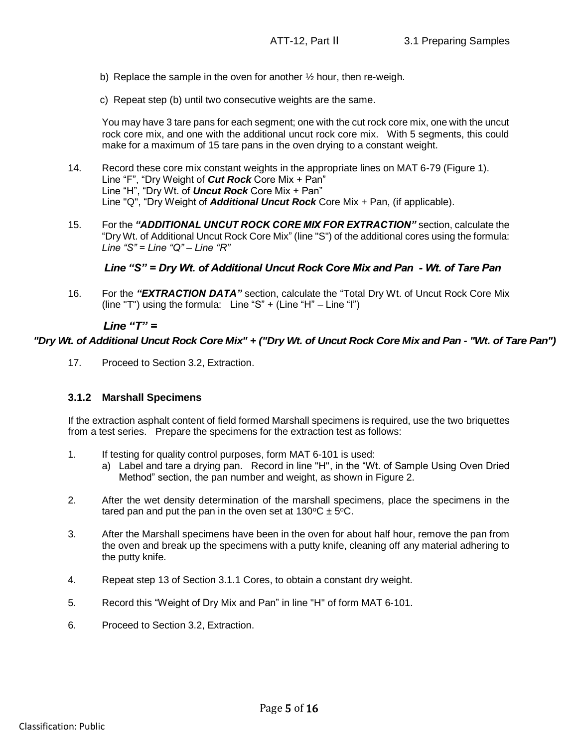- b) Replace the sample in the oven for another  $\frac{1}{2}$  hour, then re-weigh.
- c) Repeat step (b) until two consecutive weights are the same.

You may have 3 tare pans for each segment; one with the cut rock core mix, one with the uncut rock core mix, and one with the additional uncut rock core mix. With 5 segments, this could make for a maximum of 15 tare pans in the oven drying to a constant weight.

- 14. Record these core mix constant weights in the appropriate lines on MAT 6-79 (Figure 1). Line "F", "Dry Weight of *Cut Rock* Core Mix + Pan" Line "H", "Dry Wt. of *Uncut Rock* Core Mix + Pan" Line "Q", "Dry Weight of *Additional Uncut Rock* Core Mix + Pan, (if applicable).
- 15. For the *"ADDITIONAL UNCUT ROCK CORE MIX FOR EXTRACTION"* section, calculate the "Dry Wt. of Additional Uncut Rock Core Mix" (line "S") of the additional cores using the formula: *Line "S" = Line "Q" – Line "R"*

16. For the *"EXTRACTION DATA"* section, calculate the "Total Dry Wt. of Uncut Rock Core Mix (line "T") using the formula: Line "S" + (Line "H" – Line "I")

17. Proceed to Section 3.2, Extraction.

# **3.1.2 Marshall Specimens**

If the extraction asphalt content of field formed Marshall specimens is required, use the two briquettes from a test series. Prepare the specimens for the extraction test as follows:

- 1. If testing for quality control purposes, form MAT 6-101 is used:
	- a) Label and tare a drying pan. Record in line "H", in the "Wt. of Sample Using Oven Dried Method" section, the pan number and weight, as shown in Figure 2.
- 2. After the wet density determination of the marshall specimens, place the specimens in the tared pan and put the pan in the oven set at 130 $\rm ^{o}C$   $\pm$  5 $\rm ^{o}C$ .
- Line "S" = Dry Wt. of Additional Uncut Rock Core Mix and Pan Wt. of Tare Pan<br>
16. For the "EXTRACTION DATA" section, calculate the "Total Dry Wt. of Uncut Rock Core Mix<br>
(line "T") using the formula: Unne"S" + (Une "H" 3. After the Marshall specimens have been in the oven for about half hour, remove the pan from the oven and break up the specimens with a putty knife, cleaning off any material adhering to the putty knife.
	- 4. Repeat step 13 of Section 3.1.1 Cores, to obtain a constant dry weight.
	- 5. Record this "Weight of Dry Mix and Pan" in line "H" of form MAT 6-101.
	- 6. Proceed to Section 3.2, Extraction.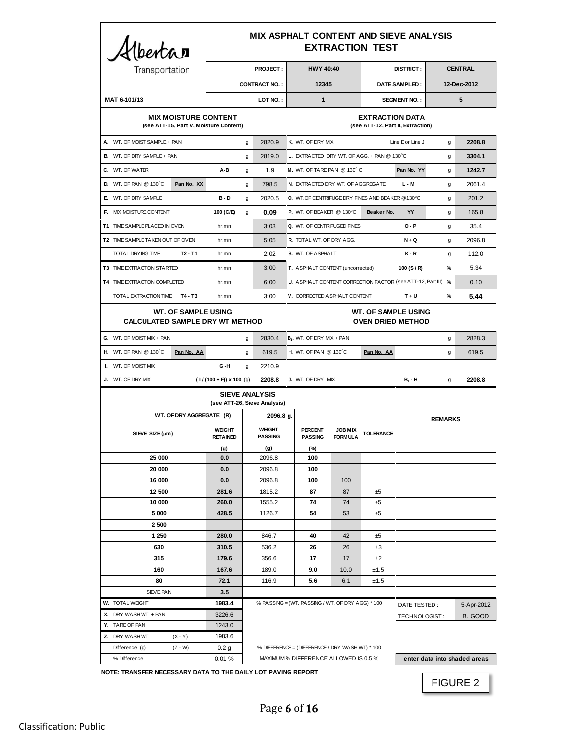| Hbertar                                                              |                                                       | <b>MIX ASPHALT CONTENT AND SIEVE ANALYSIS</b><br><b>EXTRACTION TEST</b> |                                      |                                                        |                                     |                                                                  |                                  |                                   |                              |             |                |
|----------------------------------------------------------------------|-------------------------------------------------------|-------------------------------------------------------------------------|--------------------------------------|--------------------------------------------------------|-------------------------------------|------------------------------------------------------------------|----------------------------------|-----------------------------------|------------------------------|-------------|----------------|
| Transportation                                                       |                                                       |                                                                         |                                      | <b>PROJECT:</b>                                        |                                     | <b>HWY 40:40</b>                                                 |                                  |                                   | <b>DISTRICT:</b>             |             | <b>CENTRAL</b> |
|                                                                      |                                                       | <b>CONTRACT NO.:</b>                                                    |                                      |                                                        | 12345                               |                                                                  |                                  | <b>DATE SAMPLED:</b>              |                              | 12-Dec-2012 |                |
| MAT 6-101/13                                                         |                                                       |                                                                         |                                      | LOT NO.:                                               |                                     | $\mathbf{1}$                                                     |                                  |                                   | <b>SEGMENT NO.:</b>          |             | 5              |
|                                                                      | <b>MIX MOISTURE CONTENT</b>                           |                                                                         |                                      |                                                        |                                     |                                                                  |                                  | <b>EXTRACTION DATA</b>            |                              |             |                |
|                                                                      |                                                       | (see ATT-15, Part V, Moisture Content)                                  |                                      |                                                        |                                     |                                                                  |                                  | (see ATT-12, Part II, Extraction) |                              |             |                |
| A. WT. OF MOIST SAMPLE + PAN                                         |                                                       |                                                                         | g                                    | 2820.9                                                 |                                     | K. WT. OF DRY MIX                                                |                                  |                                   | Line E or Line J             | g           | 2208.8         |
| <b>B.</b> WT. OF DRY SAMPLE + PAN                                    |                                                       |                                                                         | g                                    | 2819.0                                                 |                                     | L. EXTRACTED DRY WT. OF AGG. + PAN @ 130°C                       |                                  |                                   |                              | g           | 3304.1         |
| C. WT. OF WATER                                                      |                                                       | A-B                                                                     | g                                    | 1.9                                                    |                                     | M. WT. OF TARE PAN @ 130°C                                       |                                  |                                   | Pan No. YY                   | g           | 1242.7         |
| D. WT. OF PAN $@$ 130 $^{\circ}$ C                                   | Pan No. XX                                            |                                                                         | g                                    | 798.5                                                  |                                     | N. EXTRACTED DRY WT. OF AGGREGATE                                |                                  |                                   | $L - M$                      | g           | 2061.4         |
| E. WT. OF DRY SAMPLE                                                 |                                                       | $B - D$                                                                 | $\mathsf{q}$                         | 2020.5                                                 |                                     | <b>O.</b> WT.OF CENTRIFUGE DRY FINES AND BEAKER @130°C           |                                  |                                   |                              | g           | 201.2          |
| F. MIX MOISTURE CONTENT                                              |                                                       | 100 (C/E)                                                               | q                                    | 0.09                                                   |                                     | P. WT. OF BEAKER @ 130°C                                         |                                  | Beaker No.                        | YY                           | g           | 165.8          |
| T1 TIME SAMPLE PLACED IN OVEN                                        |                                                       | hr:min                                                                  |                                      | 3:03                                                   |                                     | Q. WT. OF CENTRIFUGED FINES                                      |                                  |                                   | $O - P$                      | g           | 35.4           |
| T2 TIME SAMPLE TAKEN OUT OF OVEN                                     |                                                       | hr:min                                                                  |                                      | 5:05                                                   |                                     | R. TOTAL WT. OF DRY AGG.                                         |                                  |                                   | $N + Q$                      | g           | 2096.8         |
| TOTAL DRYING TIME                                                    | $T2 - T1$                                             | hr:min                                                                  |                                      | 2:02                                                   |                                     | S. WT. OF ASPHALT                                                |                                  |                                   | $K - R$                      | g           | 112.0          |
| <b>T3 TIME EXTRACTION STARTED</b>                                    |                                                       | hr:min                                                                  |                                      | 3:00                                                   |                                     | T. ASPHALT CONTENT (uncorrected)                                 |                                  |                                   | 100 $(S/R)$                  | $\%$        | 5.34           |
| T4 TIME EXTRACTION COMPLETED                                         |                                                       | hr:min                                                                  |                                      | 6:00                                                   |                                     | U. ASPHALT CONTENT CORRECTION FACTOR (see ATT-12, Part III) %    |                                  |                                   |                              |             | 0.10           |
| TOTAL EXTRACTION TIME T4 - T3                                        |                                                       | hr:min                                                                  | V. CORRECTED ASPHALT CONTENT<br>3:00 |                                                        |                                     |                                                                  |                                  | $T + U$                           | $\%$                         | 5.44        |                |
|                                                                      |                                                       |                                                                         |                                      |                                                        |                                     |                                                                  |                                  |                                   |                              |             |                |
| <b>WT. OF SAMPLE USING</b><br><b>CALCULATED SAMPLE DRY WT METHOD</b> |                                                       |                                                                         |                                      | <b>WT. OF SAMPLE USING</b><br><b>OVEN DRIED METHOD</b> |                                     |                                                                  |                                  |                                   |                              |             |                |
| 2830.4<br><b>G.</b> WT. OF MOIST MIX + PAN<br>g                      |                                                       |                                                                         | $B1$ . WT. OF DRY MIX + PAN<br>g     |                                                        |                                     |                                                                  |                                  | 2828.3                            |                              |             |                |
| H. WT. OF PAN @ 130°C                                                | Pan No. AA                                            |                                                                         | g                                    | 619.5                                                  |                                     | <b>H.</b> WT. OF PAN @ 130°C                                     |                                  | Pan No. AA                        |                              | g           | 619.5          |
| I. WT. OF MOIST MIX                                                  |                                                       | G-H                                                                     | g                                    | 2210.9                                                 |                                     |                                                                  |                                  |                                   |                              |             |                |
| J. WT. OF DRY MIX                                                    |                                                       | $(1/(100 + F))$ x 100 (g)                                               |                                      | 2208.8                                                 | J. WT. OF DRY MIX<br>$B_1 - H$<br>g |                                                                  | 2208.8                           |                                   |                              |             |                |
|                                                                      | <b>SIEVE ANALYSIS</b><br>(see ATT-26, Sieve Analysis) |                                                                         |                                      |                                                        |                                     |                                                                  |                                  |                                   |                              |             |                |
| WT. OF DRY AGGREGATE (R)                                             |                                                       |                                                                         | 2096.8 g.                            |                                                        |                                     |                                                                  |                                  |                                   | <b>REMARKS</b>               |             |                |
| SIEVE SIZE $(\mu m)$                                                 |                                                       | <b>WEIGHT</b><br><b>RETAINED</b>                                        |                                      | <b>WEIGHT</b><br><b>PASSING</b>                        |                                     | <b>PERCENT</b><br><b>PASSING</b>                                 | <b>JOB MIX</b><br><b>FORMULA</b> | <b>TOLERANCE</b>                  |                              |             |                |
|                                                                      |                                                       | (g)                                                                     |                                      | (g)                                                    |                                     | (%)                                                              |                                  |                                   |                              |             |                |
| 25 000                                                               |                                                       | 0.0                                                                     |                                      | 2096.8                                                 |                                     | 100                                                              |                                  |                                   |                              |             |                |
| 20 000                                                               |                                                       | 0.0                                                                     |                                      | 2096.8                                                 |                                     | 100                                                              |                                  |                                   |                              |             |                |
| 16 000<br>12 500                                                     |                                                       | 0.0<br>281.6                                                            |                                      | 2096.8<br>1815.2                                       |                                     | 100<br>87                                                        | 100<br>87                        | ±5                                |                              |             |                |
| 10 000                                                               |                                                       | 260.0                                                                   |                                      | 1555.2                                                 |                                     | 74                                                               | 74                               | ±5                                |                              |             |                |
| 5 000                                                                |                                                       | 428.5                                                                   |                                      | 1126.7                                                 |                                     | 54                                                               | 53                               | ±5                                |                              |             |                |
| 2500                                                                 |                                                       |                                                                         |                                      |                                                        |                                     |                                                                  |                                  |                                   |                              |             |                |
| 1 250                                                                |                                                       | 280.0                                                                   |                                      | 846.7                                                  |                                     | 40                                                               | 42                               | ±5                                |                              |             |                |
| 630                                                                  |                                                       | 310.5                                                                   |                                      | 536.2<br>26<br>26<br>±3                                |                                     |                                                                  |                                  |                                   |                              |             |                |
| 315                                                                  |                                                       | 179.6                                                                   |                                      | 356.6                                                  | 17<br>17<br>±2                      |                                                                  |                                  |                                   |                              |             |                |
| 160                                                                  |                                                       | 167.6                                                                   |                                      | 189.0                                                  | 9.0<br>10.0<br>±1.5                 |                                                                  |                                  |                                   |                              |             |                |
| 80<br>SIEVE PAN                                                      |                                                       | 72.1                                                                    |                                      |                                                        | 116.9<br>5.6<br>6.1<br>±1.5         |                                                                  |                                  |                                   |                              |             |                |
| <b>W.</b> TOTAL WEIGHT                                               |                                                       | 1983.4                                                                  | 3.5                                  |                                                        |                                     | % PASSING = (WT. PASSING / WT. OF DRY AGG) * 100<br>DATE TESTED: |                                  |                                   |                              |             | 5-Apr-2012     |
| X. DRY WASH WT. + PAN                                                |                                                       | 3226.6                                                                  |                                      |                                                        |                                     |                                                                  |                                  |                                   | TECHNOLOGIST:                |             | B. GOOD        |
| Y. TARE OF PAN                                                       |                                                       | 1243.0                                                                  |                                      |                                                        |                                     |                                                                  |                                  |                                   |                              |             |                |
| Z. DRY WASH WT.                                                      | $(X - Y)$                                             | 1983.6                                                                  |                                      |                                                        |                                     |                                                                  |                                  |                                   |                              |             |                |
| Difference (g)                                                       | $(Z - W)$                                             | 0.2 <sub>g</sub>                                                        |                                      |                                                        |                                     | % DIFFERENCE = (DIFFERENCE / DRY WASH WT) * 100                  |                                  |                                   |                              |             |                |
| % Difference                                                         |                                                       | 0.01%                                                                   |                                      |                                                        |                                     | MAXIMUM % DIFFERENCE ALLOWED IS 0.5 %                            |                                  |                                   | enter data into shaded areas |             |                |

**NOTE: TRANSFER NECESSARY DATA TO THE DAILY LOT PAVING REPORT**

FIGURE 2

ן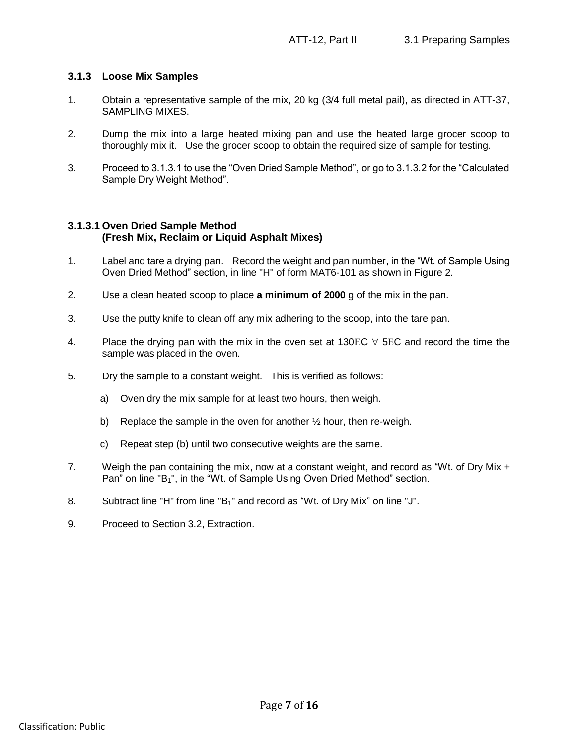# **3.1.3 Loose Mix Samples**

- 1. Obtain a representative sample of the mix, 20 kg (3/4 full metal pail), as directed in ATT-37, SAMPLING MIXES.
- 2. Dump the mix into a large heated mixing pan and use the heated large grocer scoop to thoroughly mix it. Use the grocer scoop to obtain the required size of sample for testing.
- 3. Proceed to 3.1.3.1 to use the "Oven Dried Sample Method", or go to 3.1.3.2 for the "Calculated Sample Dry Weight Method".

# **3.1.3.1 Oven Dried Sample Method (Fresh Mix, Reclaim or Liquid Asphalt Mixes)**

- 1. Label and tare a drying pan. Record the weight and pan number, in the "Wt. of Sample Using Oven Dried Method" section, in line "H" of form MAT6-101 as shown in Figure 2.
- 2. Use a clean heated scoop to place **a minimum of 2000** g of the mix in the pan.
- 3. Use the putty knife to clean off any mix adhering to the scoop, into the tare pan.
- 4. Place the drying pan with the mix in the oven set at 130EC  $\forall$  5EC and record the time the sample was placed in the oven.
- 5. Dry the sample to a constant weight. This is verified as follows:
	- a) Oven dry the mix sample for at least two hours, then weigh.
	- b) Replace the sample in the oven for another  $\frac{1}{2}$  hour, then re-weigh.
	- c) Repeat step (b) until two consecutive weights are the same.
- 7. Weigh the pan containing the mix, now at a constant weight, and record as "Wt. of Dry Mix + Pan" on line "B<sub>1</sub>", in the "Wt. of Sample Using Oven Dried Method" section.
- 8. Subtract line "H" from line "B1" and record as "Wt. of Dry Mix" on line "J".
- 9. Proceed to Section 3.2, Extraction.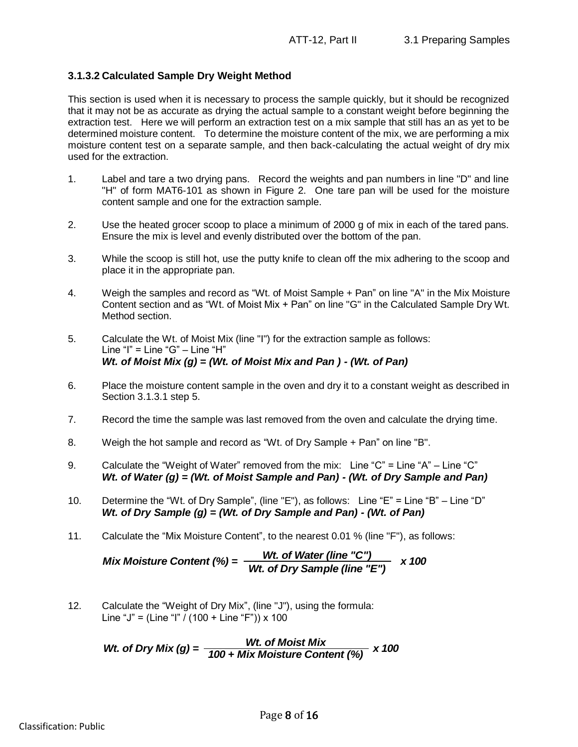# **3.1.3.2 Calculated Sample Dry Weight Method**

This section is used when it is necessary to process the sample quickly, but it should be recognized that it may not be as accurate as drying the actual sample to a constant weight before beginning the extraction test. Here we will perform an extraction test on a mix sample that still has an as yet to be determined moisture content. To determine the moisture content of the mix, we are performing a mix moisture content test on a separate sample, and then back-calculating the actual weight of dry mix used for the extraction.

- 1. Label and tare a two drying pans. Record the weights and pan numbers in line "D" and line "H" of form MAT6-101 as shown in Figure 2. One tare pan will be used for the moisture content sample and one for the extraction sample.
- 2. Use the heated grocer scoop to place a minimum of 2000 g of mix in each of the tared pans. Ensure the mix is level and evenly distributed over the bottom of the pan.
- 3. While the scoop is still hot, use the putty knife to clean off the mix adhering to the scoop and place it in the appropriate pan.
- 4. Weigh the samples and record as "Wt. of Moist Sample + Pan" on line "A" in the Mix Moisture Content section and as "Wt. of Moist Mix + Pan" on line "G" in the Calculated Sample Dry Wt. Method section.
- 5. Calculate the Wt. of Moist Mix (line "I") for the extraction sample as follows: Line "I" = Line " $G$ " - Line "H" *Wt. of Moist Mix (g) = (Wt. of Moist Mix and Pan ) - (Wt. of Pan)*
- 6. Place the moisture content sample in the oven and dry it to a constant weight as described in Section 3.1.3.1 step 5.
- 7. Record the time the sample was last removed from the oven and calculate the drying time.
- 8. Weigh the hot sample and record as "Wt. of Dry Sample + Pan" on line "B".
- 9. Calculate the "Weight of Water" removed from the mix: Line "C" = Line "A" Line "C" *Wt. of Water (g) = (Wt. of Moist Sample and Pan) - (Wt. of Dry Sample and Pan)*
- 10. Determine the "Wt. of Dry Sample", (line "E"), as follows: Line "E" = Line "B" Line "D" *Wt. of Dry Sample (g) = (Wt. of Dry Sample and Pan) - (Wt. of Pan)*
- 11. Calculate the "Mix Moisture Content", to the nearest 0.01 % (line "F"), as follows:

Mix Moisture Content (%) = 
$$
\frac{Wt. \text{ of Water (line "C")}}{Wt. \text{ of Dry Sample (line "E")}} \times 100
$$

12. Calculate the "Weight of Dry Mix", (line "J"), using the formula: Line "J" = (Line "I" / (100 + Line "F")) x 100

Wt. of *Dry Mix (g)* =  $\frac{Wt.$  of *Moist Mix*<br>*Too*+ *Mix Moisture Content (%)* x 100<br>Page 8 of 16 *100 + Mix Moisture Content (%)*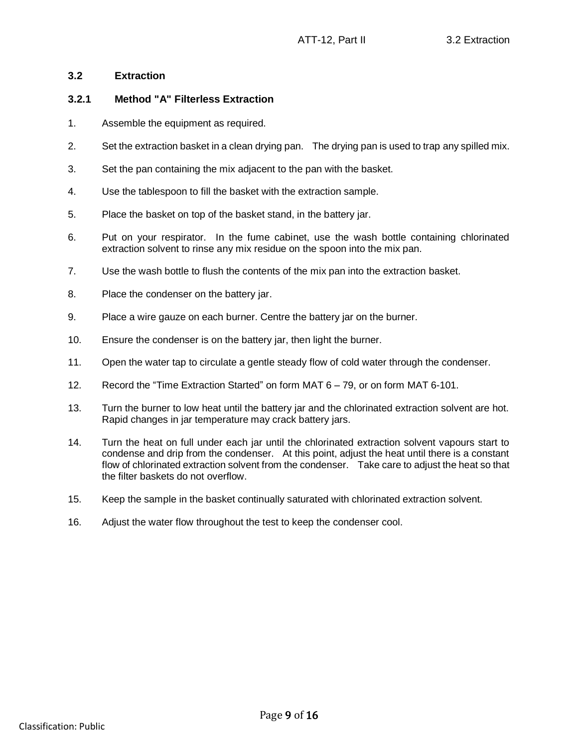# **3.2 Extraction**

### **3.2.1 Method "A" Filterless Extraction**

- 1. Assemble the equipment as required.
- 2. Set the extraction basket in a clean drying pan. The drying pan is used to trap any spilled mix.
- 3. Set the pan containing the mix adjacent to the pan with the basket.
- 4. Use the tablespoon to fill the basket with the extraction sample.
- 5. Place the basket on top of the basket stand, in the battery jar.
- 6. Put on your respirator. In the fume cabinet, use the wash bottle containing chlorinated extraction solvent to rinse any mix residue on the spoon into the mix pan.
- 7. Use the wash bottle to flush the contents of the mix pan into the extraction basket.
- 8. Place the condenser on the battery jar.
- 9. Place a wire gauze on each burner. Centre the battery jar on the burner.
- 10. Ensure the condenser is on the battery jar, then light the burner.
- 11. Open the water tap to circulate a gentle steady flow of cold water through the condenser.
- 12. Record the "Time Extraction Started" on form MAT 6 79, or on form MAT 6-101.
- 13. Turn the burner to low heat until the battery jar and the chlorinated extraction solvent are hot. Rapid changes in jar temperature may crack battery jars.
- 14. Turn the heat on full under each jar until the chlorinated extraction solvent vapours start to condense and drip from the condenser. At this point, adjust the heat until there is a constant flow of chlorinated extraction solvent from the condenser. Take care to adjust the heat so that the filter baskets do not overflow.
- 15. Keep the sample in the basket continually saturated with chlorinated extraction solvent.
- 16. Adjust the water flow throughout the test to keep the condenser cool.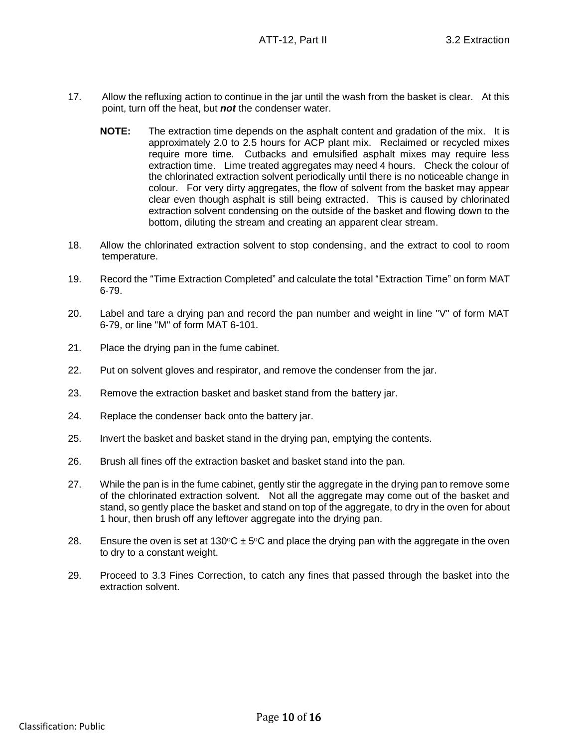- 17. Allow the refluxing action to continue in the jar until the wash from the basket is clear. At this point, turn off the heat, but *not* the condenser water.
	- **NOTE:** The extraction time depends on the asphalt content and gradation of the mix. It is approximately 2.0 to 2.5 hours for ACP plant mix. Reclaimed or recycled mixes require more time. Cutbacks and emulsified asphalt mixes may require less extraction time. Lime treated aggregates may need 4 hours. Check the colour of the chlorinated extraction solvent periodically until there is no noticeable change in colour. For very dirty aggregates, the flow of solvent from the basket may appear clear even though asphalt is still being extracted. This is caused by chlorinated extraction solvent condensing on the outside of the basket and flowing down to the bottom, diluting the stream and creating an apparent clear stream.
- 18. Allow the chlorinated extraction solvent to stop condensing, and the extract to cool to room temperature.
- 19. Record the "Time Extraction Completed" and calculate the total "Extraction Time" on form MAT 6-79.
- 20. Label and tare a drying pan and record the pan number and weight in line "V" of form MAT 6-79, or line "M" of form MAT 6-101.
- 21. Place the drying pan in the fume cabinet.
- 22. Put on solvent gloves and respirator, and remove the condenser from the jar.
- 23. Remove the extraction basket and basket stand from the battery jar.
- 24. Replace the condenser back onto the battery jar.
- 25. Invert the basket and basket stand in the drying pan, emptying the contents.
- 26. Brush all fines off the extraction basket and basket stand into the pan.
- 27. While the pan is in the fume cabinet, gently stir the aggregate in the drying pan to remove some of the chlorinated extraction solvent. Not all the aggregate may come out of the basket and stand, so gently place the basket and stand on top of the aggregate, to dry in the oven for about 1 hour, then brush off any leftover aggregate into the drying pan.
- 28. Ensure the oven is set at 130 °C  $\pm$  5 °C and place the drying pan with the aggregate in the oven to dry to a constant weight.
- 29. Proceed to 3.3 Fines Correction, to catch any fines that passed through the basket into the extraction solvent.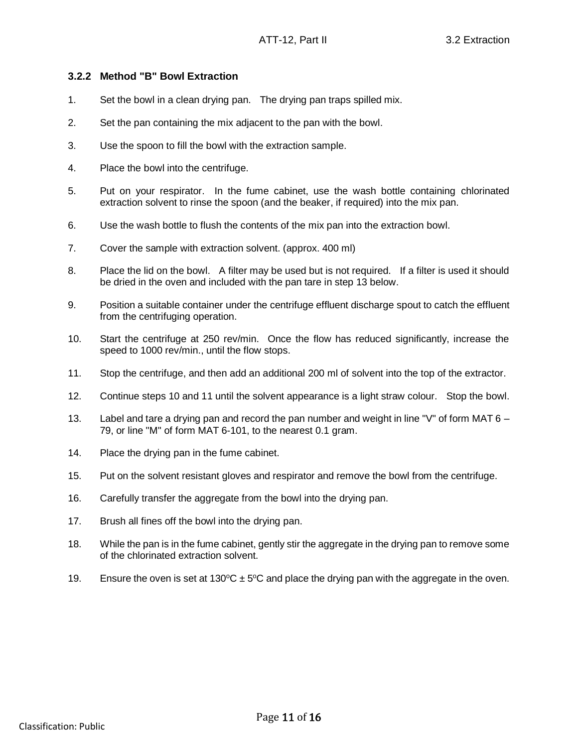# **3.2.2 Method "B" Bowl Extraction**

- 1. Set the bowl in a clean drying pan. The drying pan traps spilled mix.
- 2. Set the pan containing the mix adjacent to the pan with the bowl.
- 3. Use the spoon to fill the bowl with the extraction sample.
- 4. Place the bowl into the centrifuge.
- 5. Put on your respirator. In the fume cabinet, use the wash bottle containing chlorinated extraction solvent to rinse the spoon (and the beaker, if required) into the mix pan.
- 6. Use the wash bottle to flush the contents of the mix pan into the extraction bowl.
- 7. Cover the sample with extraction solvent. (approx. 400 ml)
- 8. Place the lid on the bowl. A filter may be used but is not required. If a filter is used it should be dried in the oven and included with the pan tare in step 13 below.
- 9. Position a suitable container under the centrifuge effluent discharge spout to catch the effluent from the centrifuging operation.
- 10. Start the centrifuge at 250 rev/min. Once the flow has reduced significantly, increase the speed to 1000 rev/min., until the flow stops.
- 11. Stop the centrifuge, and then add an additional 200 ml of solvent into the top of the extractor.
- 12. Continue steps 10 and 11 until the solvent appearance is a light straw colour. Stop the bowl.
- 13. Label and tare a drying pan and record the pan number and weight in line "V" of form MAT 6 79, or line "M" of form MAT 6-101, to the nearest 0.1 gram.
- 14. Place the drying pan in the fume cabinet.
- 15. Put on the solvent resistant gloves and respirator and remove the bowl from the centrifuge.
- 16. Carefully transfer the aggregate from the bowl into the drying pan.
- 17. Brush all fines off the bowl into the drying pan.
- 18. While the pan is in the fume cabinet, gently stir the aggregate in the drying pan to remove some of the chlorinated extraction solvent.
- 19. Ensure the oven is set at 130 °C  $\pm$  5 °C and place the drying pan with the aggregate in the oven.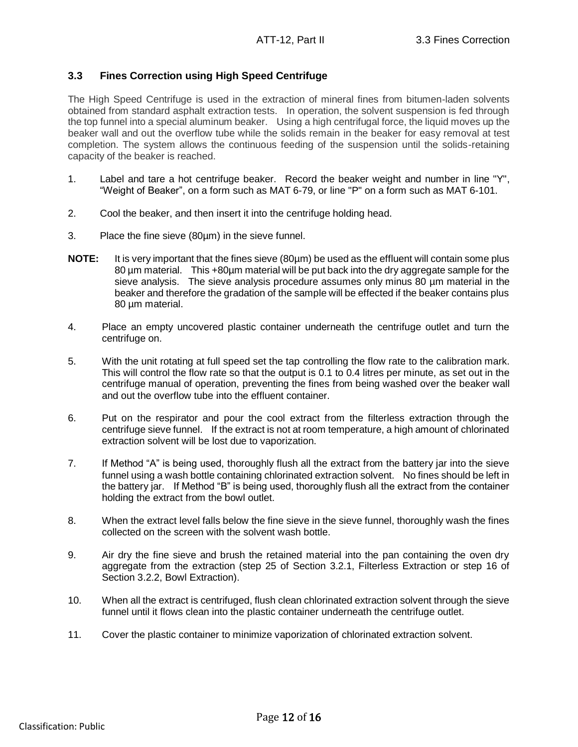# **3.3 Fines Correction using High Speed Centrifuge**

The High Speed Centrifuge is used in the extraction of mineral fines from bitumen-laden solvents obtained from standard asphalt extraction tests. In operation, the solvent suspension is fed through the top funnel into a special aluminum beaker. Using a high centrifugal force, the liquid moves up the beaker wall and out the overflow tube while the solids remain in the beaker for easy removal at test completion. The system allows the continuous feeding of the suspension until the solids-retaining capacity of the beaker is reached.

- 1. Label and tare a hot centrifuge beaker. Record the beaker weight and number in line "Y", "Weight of Beaker", on a form such as MAT 6-79, or line "P" on a form such as MAT 6-101.
- 2. Cool the beaker, and then insert it into the centrifuge holding head.
- 3. Place the fine sieve (80µm) in the sieve funnel.
- **NOTE:** It is very important that the fines sieve (80µm) be used as the effluent will contain some plus 80 µm material. This +80µm material will be put back into the dry aggregate sample for the sieve analysis. The sieve analysis procedure assumes only minus 80 µm material in the beaker and therefore the gradation of the sample will be effected if the beaker contains plus 80 um material.
- 4. Place an empty uncovered plastic container underneath the centrifuge outlet and turn the centrifuge on.
- 5. With the unit rotating at full speed set the tap controlling the flow rate to the calibration mark. This will control the flow rate so that the output is 0.1 to 0.4 litres per minute, as set out in the centrifuge manual of operation, preventing the fines from being washed over the beaker wall and out the overflow tube into the effluent container.
- 6. Put on the respirator and pour the cool extract from the filterless extraction through the centrifuge sieve funnel. If the extract is not at room temperature, a high amount of chlorinated extraction solvent will be lost due to vaporization.
- 7. If Method "A" is being used, thoroughly flush all the extract from the battery jar into the sieve funnel using a wash bottle containing chlorinated extraction solvent. No fines should be left in the battery jar. If Method "B" is being used, thoroughly flush all the extract from the container holding the extract from the bowl outlet.
- 8. When the extract level falls below the fine sieve in the sieve funnel, thoroughly wash the fines collected on the screen with the solvent wash bottle.
- 9. Air dry the fine sieve and brush the retained material into the pan containing the oven dry aggregate from the extraction (step 25 of Section 3.2.1, Filterless Extraction or step 16 of Section 3.2.2, Bowl Extraction).
- 10. When all the extract is centrifuged, flush clean chlorinated extraction solvent through the sieve funnel until it flows clean into the plastic container underneath the centrifuge outlet.
- 11. Cover the plastic container to minimize vaporization of chlorinated extraction solvent.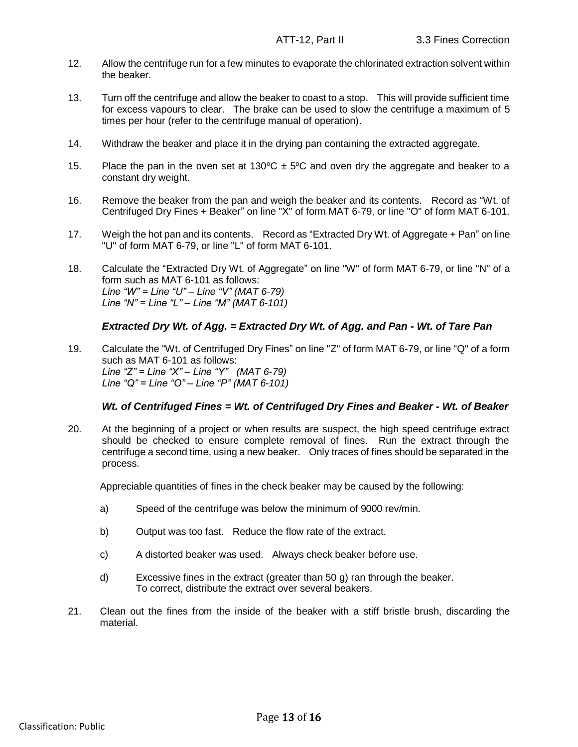- 12. Allow the centrifuge run for a few minutes to evaporate the chlorinated extraction solvent within the beaker.
- 13. Turn off the centrifuge and allow the beaker to coast to a stop. This will provide sufficient time for excess vapours to clear. The brake can be used to slow the centrifuge a maximum of 5 times per hour (refer to the centrifuge manual of operation).
- 14. Withdraw the beaker and place it in the drying pan containing the extracted aggregate.
- 15. Place the pan in the oven set at 130 $\degree$ C  $\pm$  5 $\degree$ C and oven dry the aggregate and beaker to a constant dry weight.
- 16. Remove the beaker from the pan and weigh the beaker and its contents. Record as "Wt. of Centrifuged Dry Fines + Beaker" on line "X" of form MAT 6-79, or line "O" of form MAT 6-101.
- 17. Weigh the hot pan and its contents. Record as "Extracted Dry Wt. of Aggregate + Pan" on line "U" of form MAT 6-79, or line "L" of form MAT 6-101.
- 18. Calculate the "Extracted Dry Wt. of Aggregate" on line "W" of form MAT 6-79, or line "N" of a form such as MAT 6-101 as follows: *Line "W" = Line "U" – Line "V" (MAT 6-79) Line "N" = Line "L" – Line "M" (MAT 6-101)*

### *Extracted Dry Wt. of Agg. = Extracted Dry Wt. of Agg. and Pan - Wt. of Tare Pan*

19. Calculate the "Wt. of Centrifuged Dry Fines" on line "Z" of form MAT 6-79, or line "Q" of a form such as MAT 6-101 as follows: *Line "Z" = Line "X" – Line "Y" (MAT 6-79) Line "Q" = Line "O" – Line "P" (MAT 6-101)*

### *Wt. of Centrifuged Fines = Wt. of Centrifuged Dry Fines and Beaker - Wt. of Beaker*

20. At the beginning of a project or when results are suspect, the high speed centrifuge extract should be checked to ensure complete removal of fines. Run the extract through the centrifuge a second time, using a new beaker. Only traces of fines should be separated in the process.

Appreciable quantities of fines in the check beaker may be caused by the following:

- a) Speed of the centrifuge was below the minimum of 9000 rev/min.
- b) Output was too fast. Reduce the flow rate of the extract.
- c) A distorted beaker was used. Always check beaker before use.
- d) Excessive fines in the extract (greater than 50 g) ran through the beaker. To correct, distribute the extract over several beakers.
- 21. Clean out the fines from the inside of the beaker with a stiff bristle brush, discarding the material.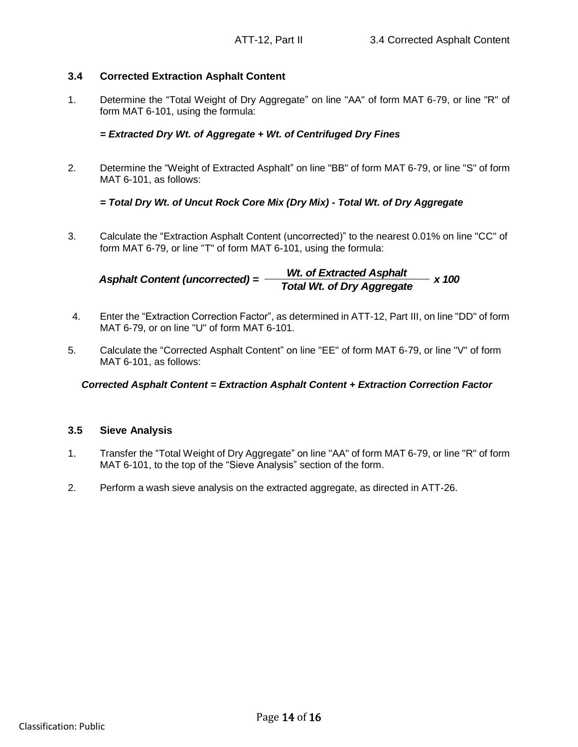# **3.4 Corrected Extraction Asphalt Content**

1. Determine the "Total Weight of Dry Aggregate" on line "AA" of form MAT 6-79, or line "R" of form MAT 6-101, using the formula:

# *= Extracted Dry Wt. of Aggregate + Wt. of Centrifuged Dry Fines*

2. Determine the "Weight of Extracted Asphalt" on line "BB" of form MAT 6-79, or line "S" of form MAT 6-101, as follows:

# *= Total Dry Wt. of Uncut Rock Core Mix (Dry Mix) - Total Wt. of Dry Aggregate*

3. Calculate the "Extraction Asphalt Content (uncorrected)" to the nearest 0.01% on line "CC" of form MAT 6-79, or line "T" of form MAT 6-101, using the formula:

*Wt. of Extracted Asphalt x 100 Total Wt. of Dry Aggregate Asphalt Content (uncorrected) =* 

- 4. Enter the "Extraction Correction Factor", as determined in ATT-12, Part III, on line "DD" of form MAT 6-79, or on line "U" of form MAT 6-101.
- 5. Calculate the "Corrected Asphalt Content" on line "EE" of form MAT 6-79, or line "V" of form MAT 6-101, as follows:

### *Corrected Asphalt Content = Extraction Asphalt Content + Extraction Correction Factor*

### **3.5 Sieve Analysis**

- 1. Transfer the "Total Weight of Dry Aggregate" on line "AA" of form MAT 6-79, or line "R" of form MAT 6-101, to the top of the "Sieve Analysis" section of the form.
- 2. Perform a wash sieve analysis on the extracted aggregate, as directed in ATT-26.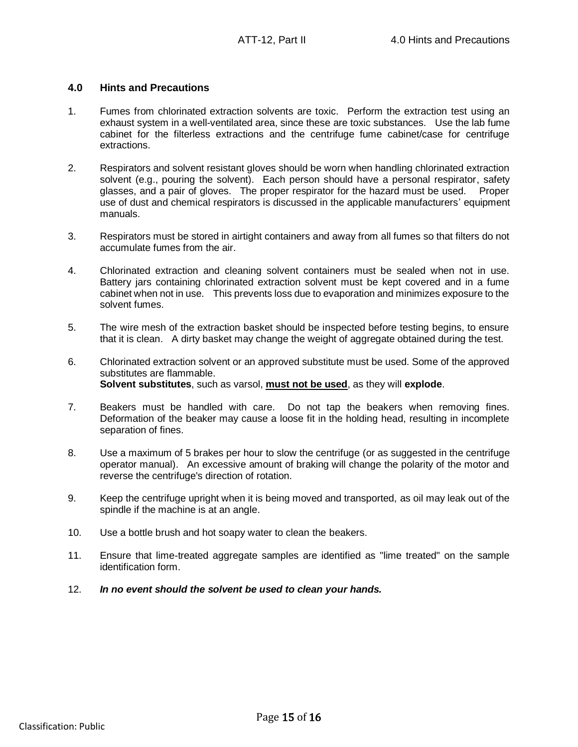# **4.0 Hints and Precautions**

- 1. Fumes from chlorinated extraction solvents are toxic. Perform the extraction test using an exhaust system in a well-ventilated area, since these are toxic substances. Use the lab fume cabinet for the filterless extractions and the centrifuge fume cabinet/case for centrifuge extractions.
- 2. Respirators and solvent resistant gloves should be worn when handling chlorinated extraction solvent (e.g., pouring the solvent). Each person should have a personal respirator, safety glasses, and a pair of gloves. The proper respirator for the hazard must be used. Proper use of dust and chemical respirators is discussed in the applicable manufacturers' equipment manuals.
- 3. Respirators must be stored in airtight containers and away from all fumes so that filters do not accumulate fumes from the air.
- 4. Chlorinated extraction and cleaning solvent containers must be sealed when not in use. Battery jars containing chlorinated extraction solvent must be kept covered and in a fume cabinet when not in use. This prevents loss due to evaporation and minimizes exposure to the solvent fumes.
- 5. The wire mesh of the extraction basket should be inspected before testing begins, to ensure that it is clean. A dirty basket may change the weight of aggregate obtained during the test.
- 6. Chlorinated extraction solvent or an approved substitute must be used. Some of the approved substitutes are flammable. **Solvent substitutes**, such as varsol, **must not be used**, as they will **explode**.
- 7. Beakers must be handled with care. Do not tap the beakers when removing fines. Deformation of the beaker may cause a loose fit in the holding head, resulting in incomplete separation of fines.
- 8. Use a maximum of 5 brakes per hour to slow the centrifuge (or as suggested in the centrifuge operator manual). An excessive amount of braking will change the polarity of the motor and reverse the centrifuge's direction of rotation.
- 9. Keep the centrifuge upright when it is being moved and transported, as oil may leak out of the spindle if the machine is at an angle.
- 10. Use a bottle brush and hot soapy water to clean the beakers.
- 11. Ensure that lime-treated aggregate samples are identified as "lime treated" on the sample identification form.
- 12. *In no event should the solvent be used to clean your hands.*